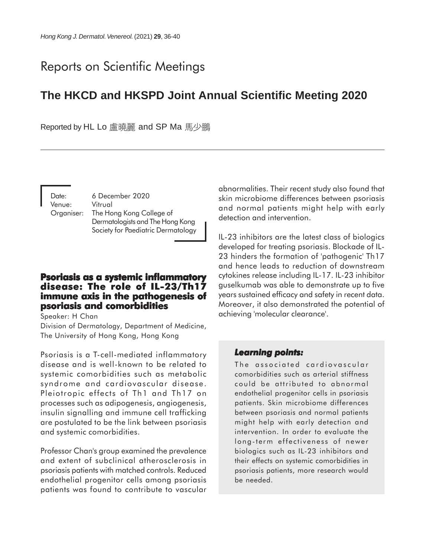# Reports on Scientific Meetings

# **The HKCD and HKSPD Joint Annual Scientific Meeting 2020**

Reported by HL Lo 盧曉麗 and SP Ma 馬少鵬

Date: 6 December 2020 Venue: Vitrual Organiser: The Hong Kong College of Dermatologists and The Hong Kong Society for Paediatric Dermatology

### **Psoriasis as a systemic inflammatory disease: The role of IL-23/Th17 immune axis in the pathogenesis of immune axis in the pathogenesis of psoriasis and comorbidities**

Speaker: H Chan

Division of Dermatology, Department of Medicine, The University of Hong Kong, Hong Kong

Psoriasis is a T-cell-mediated inflammatory disease and is well-known to be related to systemic comorbidities such as metabolic syndrome and cardiovascular disease. Pleiotropic effects of Th1 and Th17 on processes such as adipogenesis, angiogenesis, insulin signalling and immune cell trafficking are postulated to be the link between psoriasis and systemic comorbidities.

Professor Chan's group examined the prevalence and extent of subclinical atherosclerosis in psoriasis patients with matched controls. Reduced endothelial progenitor cells among psoriasis patients was found to contribute to vascular abnormalities. Their recent study also found that skin microbiome differences between psoriasis and normal patients might help with early detection and intervention.

IL-23 inhibitors are the latest class of biologics developed for treating psoriasis. Blockade of IL-23 hinders the formation of 'pathogenic' Th17 and hence leads to reduction of downstream cytokines release including IL-17. IL-23 inhibitor guselkumab was able to demonstrate up to five years sustained efficacy and safety in recent data. Moreover, it also demonstrated the potential of achieving 'molecular clearance'.

#### *Learning points: points:*

The associated cardiovascular comorbidities such as arterial stiffness could be attributed to abnormal endothelial progenitor cells in psoriasis patients. Skin microbiome differences between psoriasis and normal patients might help with early detection and intervention. In order to evaluate the long-term effectiveness of newer biologics such as IL-23 inhibitors and their effects on systemic comorbidities in psoriasis patients, more research would be needed.